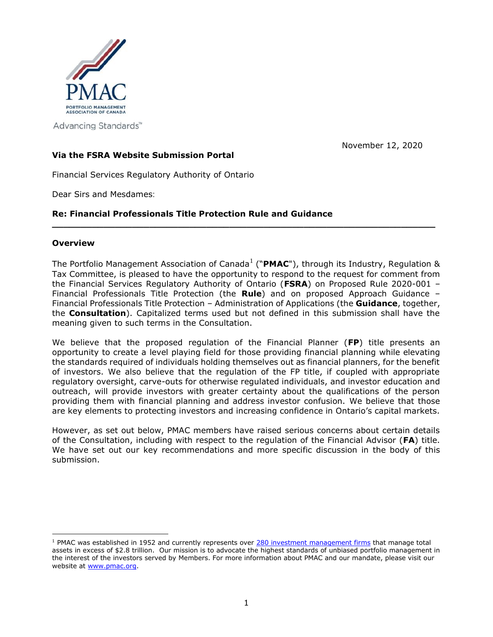

Advancing Standards<sup>™</sup>

November 12, 2020

# **Via the FSRA Website Submission Portal**

Financial Services Regulatory Authority of Ontario

Dear Sirs and Mesdames:

# **Re: Financial Professionals Title Protection Rule and Guidance**

### **Overview**

The Portfolio Management Association of Canada<sup>1</sup> ("PMAC"), through its Industry, Regulation & Tax Committee, is pleased to have the opportunity to respond to the request for comment from the Financial Services Regulatory Authority of Ontario (**FSRA**) on Proposed Rule 2020-001 – Financial Professionals Title Protection (the **Rule**) and on proposed Approach Guidance – Financial Professionals Title Protection – Administration of Applications (the **Guidance**, together, the **Consultation**). Capitalized terms used but not defined in this submission shall have the meaning given to such terms in the Consultation.

**\_\_\_\_\_\_\_\_\_\_\_\_\_\_\_\_\_\_\_\_\_\_\_\_\_\_\_\_\_\_\_\_\_\_\_\_\_\_\_\_\_\_\_\_\_\_\_\_\_\_\_\_\_\_\_\_\_\_\_\_\_\_\_\_\_\_\_**

We believe that the proposed regulation of the Financial Planner (**FP**) title presents an opportunity to create a level playing field for those providing financial planning while elevating the standards required of individuals holding themselves out as financial planners, for the benefit of investors. We also believe that the regulation of the FP title, if coupled with appropriate regulatory oversight, carve-outs for otherwise regulated individuals, and investor education and outreach, will provide investors with greater certainty about the qualifications of the person providing them with financial planning and address investor confusion. We believe that those are key elements to protecting investors and increasing confidence in Ontario's capital markets.

However, as set out below, PMAC members have raised serious concerns about certain details of the Consultation, including with respect to the regulation of the Financial Advisor (**FA**) title. We have set out our key recommendations and more specific discussion in the body of this submission.

<sup>&</sup>lt;sup>1</sup> PMAC was established in 1952 and currently represents over [280 investment management firms](https://www.portfoliomanagement.org/firms/?all_firms=true) that manage total assets in excess of \$2.8 trillion. Our mission is to advocate the highest standards of unbiased portfolio management in the interest of the investors served by Members. For more information about PMAC and our mandate, please visit our website at [www.pmac.org.](http://www.pmac.org/)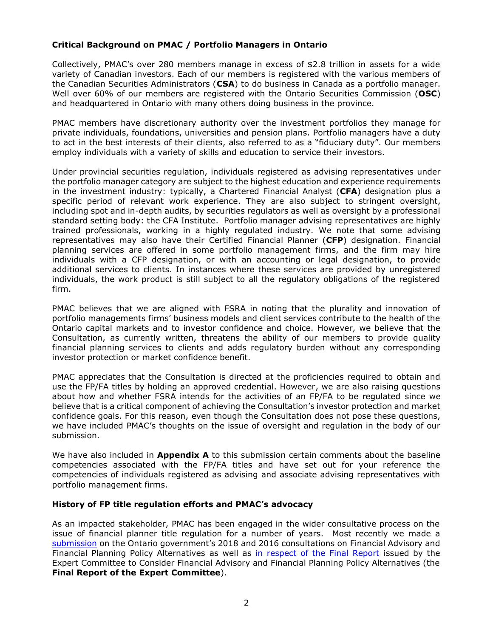# **Critical Background on PMAC / Portfolio Managers in Ontario**

Collectively, PMAC's over 280 members manage in excess of \$2.8 trillion in assets for a wide variety of Canadian investors. Each of our members is registered with the various members of the Canadian Securities Administrators (**CSA**) to do business in Canada as a portfolio manager. Well over 60% of our members are registered with the Ontario Securities Commission (**OSC**) and headquartered in Ontario with many others doing business in the province.

PMAC members have discretionary authority over the investment portfolios they manage for private individuals, foundations, universities and pension plans. Portfolio managers have a duty to act in the best interests of their clients, also referred to as a "fiduciary duty". Our members employ individuals with a variety of skills and education to service their investors.

Under provincial securities regulation, individuals registered as advising representatives under the portfolio manager category are subject to the highest education and experience requirements in the investment industry: typically, a Chartered Financial Analyst (**CFA**) designation plus a specific period of relevant work experience. They are also subject to stringent oversight, including spot and in-depth audits, by securities regulators as well as oversight by a professional standard setting body: the CFA Institute. Portfolio manager advising representatives are highly trained professionals, working in a highly regulated industry. We note that some advising representatives may also have their Certified Financial Planner (**CFP**) designation. Financial planning services are offered in some portfolio management firms, and the firm may hire individuals with a CFP designation, or with an accounting or legal designation, to provide additional services to clients. In instances where these services are provided by unregistered individuals, the work product is still subject to all the regulatory obligations of the registered firm.

PMAC believes that we are aligned with FSRA in noting that the plurality and innovation of portfolio managements firms' business models and client services contribute to the health of the Ontario capital markets and to investor confidence and choice. However, we believe that the Consultation, as currently written, threatens the ability of our members to provide quality financial planning services to clients and adds regulatory burden without any corresponding investor protection or market confidence benefit.

PMAC appreciates that the Consultation is directed at the proficiencies required to obtain and use the FP/FA titles by holding an approved credential. However, we are also raising questions about how and whether FSRA intends for the activities of an FP/FA to be regulated since we believe that is a critical component of achieving the Consultation's investor protection and market confidence goals. For this reason, even though the Consultation does not pose these questions, we have included PMAC's thoughts on the issue of oversight and regulation in the body of our submission.

We have also included in **Appendix A** to this submission certain comments about the baseline competencies associated with the FP/FA titles and have set out for your reference the competencies of individuals registered as advising and associate advising representatives with portfolio management firms.

### **History of FP title regulation efforts and PMAC's advocacy**

As an impacted stakeholder, PMAC has been engaged in the wider consultative process on the issue of financial planner title regulation for a number of years. Most recently we made a [submission](http://www.portfoliomanagement.org/wp-content/uploads/2016/06/PMAC-Submission-on-Ontario-Financial-Planning-Consultation-June-2016.pdf) on the Ontario government's 2018 and 2016 consultations on Financial Advisory and Financial Planning Policy Alternatives as well as [in respect of the Final Report](http://www.portfoliomanagement.org/wp-content/uploads/2017/05/PMAC-Submission-on-Ontario-Financial-Advisory-and-Financial-Planning-Regulatory-Policy-Alternatives-final-2017.pdf) issued by the Expert Committee to Consider Financial Advisory and Financial Planning Policy Alternatives (the **Final Report of the Expert Committee**).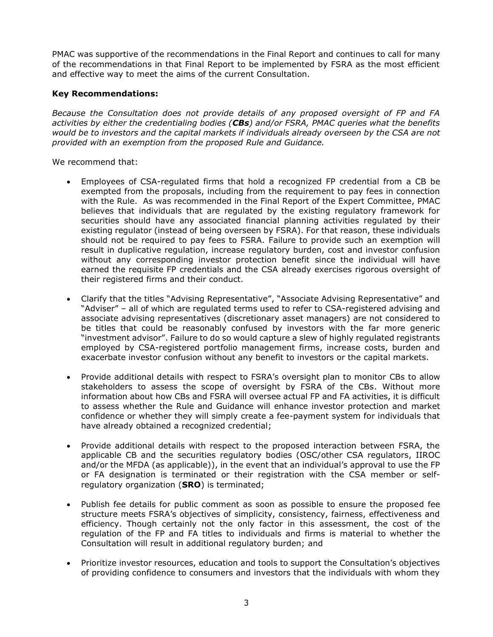PMAC was supportive of the recommendations in the Final Report and continues to call for many of the recommendations in that Final Report to be implemented by FSRA as the most efficient and effective way to meet the aims of the current Consultation.

## **Key Recommendations:**

*Because the Consultation does not provide details of any proposed oversight of FP and FA activities by either the credentialing bodies (CBs) and/or FSRA, PMAC queries what the benefits would be to investors and the capital markets if individuals already overseen by the CSA are not provided with an exemption from the proposed Rule and Guidance.* 

We recommend that:

- Employees of CSA-regulated firms that hold a recognized FP credential from a CB be exempted from the proposals, including from the requirement to pay fees in connection with the Rule. As was recommended in the Final Report of the Expert Committee, PMAC believes that individuals that are regulated by the existing regulatory framework for securities should have any associated financial planning activities regulated by their existing regulator (instead of being overseen by FSRA). For that reason, these individuals should not be required to pay fees to FSRA. Failure to provide such an exemption will result in duplicative regulation, increase regulatory burden, cost and investor confusion without any corresponding investor protection benefit since the individual will have earned the requisite FP credentials and the CSA already exercises rigorous oversight of their registered firms and their conduct.
- Clarify that the titles "Advising Representative", "Associate Advising Representative" and "Adviser" – all of which are regulated terms used to refer to CSA-registered advising and associate advising representatives (discretionary asset managers) are not considered to be titles that could be reasonably confused by investors with the far more generic "investment advisor". Failure to do so would capture a slew of highly regulated registrants employed by CSA-registered portfolio management firms, increase costs, burden and exacerbate investor confusion without any benefit to investors or the capital markets.
- Provide additional details with respect to FSRA's oversight plan to monitor CBs to allow stakeholders to assess the scope of oversight by FSRA of the CBs. Without more information about how CBs and FSRA will oversee actual FP and FA activities, it is difficult to assess whether the Rule and Guidance will enhance investor protection and market confidence or whether they will simply create a fee-payment system for individuals that have already obtained a recognized credential;
- Provide additional details with respect to the proposed interaction between FSRA, the applicable CB and the securities regulatory bodies (OSC/other CSA regulators, IIROC and/or the MFDA (as applicable)), in the event that an individual's approval to use the FP or FA designation is terminated or their registration with the CSA member or selfregulatory organization (**SRO**) is terminated;
- Publish fee details for public comment as soon as possible to ensure the proposed fee structure meets FSRA's objectives of simplicity, consistency, fairness, effectiveness and efficiency. Though certainly not the only factor in this assessment, the cost of the regulation of the FP and FA titles to individuals and firms is material to whether the Consultation will result in additional regulatory burden; and
- Prioritize investor resources, education and tools to support the Consultation's objectives of providing confidence to consumers and investors that the individuals with whom they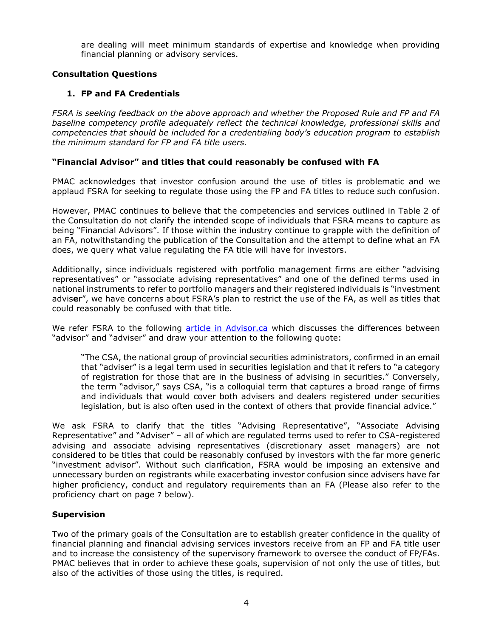are dealing will meet minimum standards of expertise and knowledge when providing financial planning or advisory services.

## **Consultation Questions**

## **1. FP and FA Credentials**

*FSRA is seeking feedback on the above approach and whether the Proposed Rule and FP and FA baseline competency profile adequately reflect the technical knowledge, professional skills and competencies that should be included for a credentialing body's education program to establish the minimum standard for FP and FA title users.* 

### **"Financial Advisor" and titles that could reasonably be confused with FA**

PMAC acknowledges that investor confusion around the use of titles is problematic and we applaud FSRA for seeking to regulate those using the FP and FA titles to reduce such confusion.

However, PMAC continues to believe that the competencies and services outlined in Table 2 of the Consultation do not clarify the intended scope of individuals that FSRA means to capture as being "Financial Advisors". If those within the industry continue to grapple with the definition of an FA, notwithstanding the publication of the Consultation and the attempt to define what an FA does, we query what value regulating the FA title will have for investors.

Additionally, since individuals registered with portfolio management firms are either "advising representatives" or "associate advising representatives" and one of the defined terms used in national instruments to refer to portfolio managers and their registered individuals is "investment advis**e**r", we have concerns about FSRA's plan to restrict the use of the FA, as well as titles that could reasonably be confused with that title.

We refer FSRA to the following [article in Advisor.ca](https://www.advisor.ca/news/industry-news/advisor-or-adviser-its-not-that-simple/#:~:text=CSA%2C%20the%20national%20group%20of,says%20CSA%2C%20%E2%80%9Cis%20a%20colloquial) which discusses the differences between "advisor" and "adviser" and draw your attention to the following quote:

"The CSA, the national group of provincial securities administrators, confirmed in an email that "adviser" is a legal term used in securities legislation and that it refers to "a category of registration for those that are in the business of advising in securities." Conversely, the term "advisor," says CSA, "is a colloquial term that captures a broad range of firms and individuals that would cover both advisers and dealers registered under securities legislation, but is also often used in the context of others that provide financial advice."

We ask FSRA to clarify that the titles "Advising Representative", "Associate Advising Representative" and "Adviser" – all of which are regulated terms used to refer to CSA-registered advising and associate advising representatives (discretionary asset managers) are not considered to be titles that could be reasonably confused by investors with the far more generic "investment advisor". Without such clarification, FSRA would be imposing an extensive and unnecessary burden on registrants while exacerbating investor confusion since advisers have far higher proficiency, conduct and regulatory requirements than an FA (Please also refer to the proficiency chart on page 7 below).

### **Supervision**

Two of the primary goals of the Consultation are to establish greater confidence in the quality of financial planning and financial advising services investors receive from an FP and FA title user and to increase the consistency of the supervisory framework to oversee the conduct of FP/FAs. PMAC believes that in order to achieve these goals, supervision of not only the use of titles, but also of the activities of those using the titles, is required.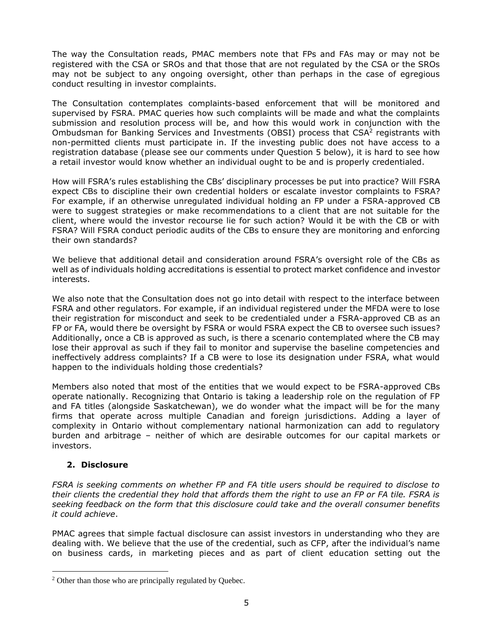The way the Consultation reads, PMAC members note that FPs and FAs may or may not be registered with the CSA or SROs and that those that are not regulated by the CSA or the SROs may not be subject to any ongoing oversight, other than perhaps in the case of egregious conduct resulting in investor complaints.

The Consultation contemplates complaints-based enforcement that will be monitored and supervised by FSRA. PMAC queries how such complaints will be made and what the complaints submission and resolution process will be, and how this would work in conjunction with the Ombudsman for Banking Services and Investments (OBSI) process that  $CSA<sup>2</sup>$  registrants with non-permitted clients must participate in. If the investing public does not have access to a registration database (please see our comments under Question 5 below), it is hard to see how a retail investor would know whether an individual ought to be and is properly credentialed.

How will FSRA's rules establishing the CBs' disciplinary processes be put into practice? Will FSRA expect CBs to discipline their own credential holders or escalate investor complaints to FSRA? For example, if an otherwise unregulated individual holding an FP under a FSRA-approved CB were to suggest strategies or make recommendations to a client that are not suitable for the client, where would the investor recourse lie for such action? Would it be with the CB or with FSRA? Will FSRA conduct periodic audits of the CBs to ensure they are monitoring and enforcing their own standards?

We believe that additional detail and consideration around FSRA's oversight role of the CBs as well as of individuals holding accreditations is essential to protect market confidence and investor interests.

We also note that the Consultation does not go into detail with respect to the interface between FSRA and other regulators. For example, if an individual registered under the MFDA were to lose their registration for misconduct and seek to be credentialed under a FSRA-approved CB as an FP or FA, would there be oversight by FSRA or would FSRA expect the CB to oversee such issues? Additionally, once a CB is approved as such, is there a scenario contemplated where the CB may lose their approval as such if they fail to monitor and supervise the baseline competencies and ineffectively address complaints? If a CB were to lose its designation under FSRA, what would happen to the individuals holding those credentials?

Members also noted that most of the entities that we would expect to be FSRA-approved CBs operate nationally. Recognizing that Ontario is taking a leadership role on the regulation of FP and FA titles (alongside Saskatchewan), we do wonder what the impact will be for the many firms that operate across multiple Canadian and foreign jurisdictions. Adding a layer of complexity in Ontario without complementary national harmonization can add to regulatory burden and arbitrage – neither of which are desirable outcomes for our capital markets or investors.

### **2. Disclosure**

*FSRA is seeking comments on whether FP and FA title users should be required to disclose to their clients the credential they hold that affords them the right to use an FP or FA tile. FSRA is seeking feedback on the form that this disclosure could take and the overall consumer benefits it could achieve*.

PMAC agrees that simple factual disclosure can assist investors in understanding who they are dealing with. We believe that the use of the credential, such as CFP, after the individual's name on business cards, in marketing pieces and as part of client education setting out the

<sup>2</sup> Other than those who are principally regulated by Quebec.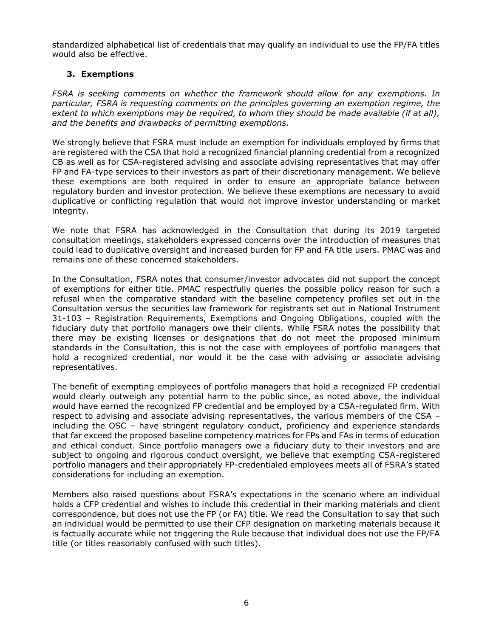standardized alphabetical list of credentials that may qualify an individual to use the FP/FA titles would also be effective.

# **3. Exemptions**

*FSRA is seeking comments on whether the framework should allow for any exemptions. In particular, FSRA is requesting comments on the principles governing an exemption regime, the extent to which exemptions may be required, to whom they should be made available (if at all), and the benefits and drawbacks of permitting exemptions.* 

We strongly believe that FSRA must include an exemption for individuals employed by firms that are registered with the CSA that hold a recognized financial planning credential from a recognized CB as well as for CSA-registered advising and associate advising representatives that may offer FP and FA-type services to their investors as part of their discretionary management. We believe these exemptions are both required in order to ensure an appropriate balance between regulatory burden and investor protection. We believe these exemptions are necessary to avoid duplicative or conflicting regulation that would not improve investor understanding or market integrity.

We note that FSRA has acknowledged in the Consultation that during its 2019 targeted consultation meetings, stakeholders expressed concerns over the introduction of measures that could lead to duplicative oversight and increased burden for FP and FA title users. PMAC was and remains one of these concerned stakeholders.

In the Consultation, FSRA notes that consumer/investor advocates did not support the concept of exemptions for either title. PMAC respectfully queries the possible policy reason for such a refusal when the comparative standard with the baseline competency profiles set out in the Consultation versus the securities law framework for registrants set out in National Instrument 31-103 – Registration Requirements, Exemptions and Ongoing Obligations, coupled with the fiduciary duty that portfolio managers owe their clients. While FSRA notes the possibility that there may be existing licenses or designations that do not meet the proposed minimum standards in the Consultation, this is not the case with employees of portfolio managers that hold a recognized credential, nor would it be the case with advising or associate advising representatives.

The benefit of exempting employees of portfolio managers that hold a recognized FP credential would clearly outweigh any potential harm to the public since, as noted above, the individual would have earned the recognized FP credential and be employed by a CSA-regulated firm. With respect to advising and associate advising representatives, the various members of the CSA – including the OSC – have stringent regulatory conduct, proficiency and experience standards that far exceed the proposed baseline competency matrices for FPs and FAs in terms of education and ethical conduct. Since portfolio managers owe a fiduciary duty to their investors and are subject to ongoing and rigorous conduct oversight, we believe that exempting CSA-registered portfolio managers and their appropriately FP-credentialed employees meets all of FSRA's stated considerations for including an exemption.

Members also raised questions about FSRA's expectations in the scenario where an individual holds a CFP credential and wishes to include this credential in their marking materials and client correspondence, but does not use the FP (or FA) title. We read the Consultation to say that such an individual would be permitted to use their CFP designation on marketing materials because it is factually accurate while not triggering the Rule because that individual does not use the FP/FA title (or titles reasonably confused with such titles).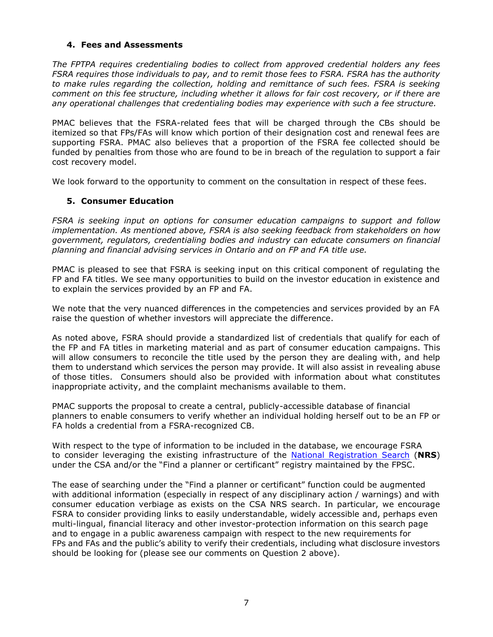## **4. Fees and Assessments**

*The FPTPA requires credentialing bodies to collect from approved credential holders any fees FSRA requires those individuals to pay, and to remit those fees to FSRA. FSRA has the authority to make rules regarding the collection, holding and remittance of such fees. FSRA is seeking comment on this fee structure, including whether it allows for fair cost recovery, or if there are any operational challenges that credentialing bodies may experience with such a fee structure.*

PMAC believes that the FSRA-related fees that will be charged through the CBs should be itemized so that FPs/FAs will know which portion of their designation cost and renewal fees are supporting FSRA. PMAC also believes that a proportion of the FSRA fee collected should be funded by penalties from those who are found to be in breach of the regulation to support a fair cost recovery model.

We look forward to the opportunity to comment on the consultation in respect of these fees.

### **5. Consumer Education**

*FSRA is seeking input on options for consumer education campaigns to support and follow implementation. As mentioned above, FSRA is also seeking feedback from stakeholders on how government, regulators, credentialing bodies and industry can educate consumers on financial planning and financial advising services in Ontario and on FP and FA title use.*

PMAC is pleased to see that FSRA is seeking input on this critical component of regulating the FP and FA titles. We see many opportunities to build on the investor education in existence and to explain the services provided by an FP and FA.

We note that the very nuanced differences in the competencies and services provided by an FA raise the question of whether investors will appreciate the difference.

As noted above, FSRA should provide a standardized list of credentials that qualify for each of the FP and FA titles in marketing material and as part of consumer education campaigns. This will allow consumers to reconcile the title used by the person they are dealing with, and help them to understand which services the person may provide. It will also assist in revealing abuse of those titles. Consumers should also be provided with information about what constitutes inappropriate activity, and the complaint mechanisms available to them.

PMAC supports the proposal to create a central, publicly-accessible database of financial planners to enable consumers to verify whether an individual holding herself out to be an FP or FA holds a credential from a FSRA-recognized CB.

With respect to the type of information to be included in the database, we encourage FSRA to consider leveraging the existing infrastructure of the [National Registration](https://www.securities-administrators.ca/nrs/nrsearchprep.aspx) Search (**NRS**) under the CSA and/or the "Find a planner or certificant" registry maintained by the FPSC.

The ease of searching under the "Find a planner or certificant" function could be augmented with additional information (especially in respect of any disciplinary action / warnings) and with consumer education verbiage as exists on the CSA NRS search. In particular, we encourage FSRA to consider providing links to easily understandable, widely accessible and, perhaps even multi-lingual, financial literacy and other investor-protection information on this search page and to engage in a public awareness campaign with respect to the new requirements for FPs and FAs and the public's ability to verify their credentials, including what disclosure investors should be looking for (please see our comments on Question 2 above).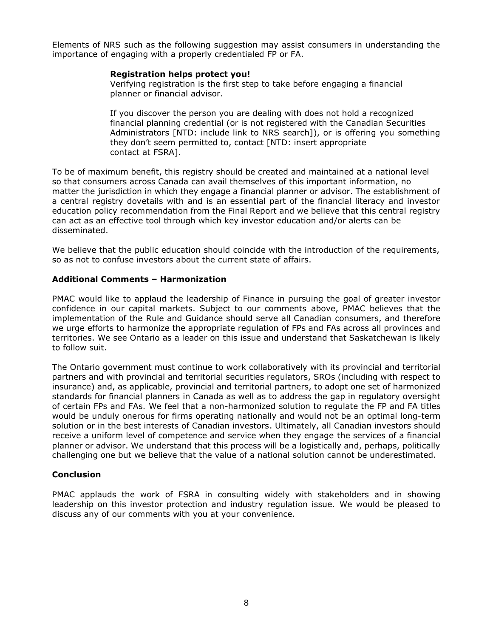Elements of NRS such as the following suggestion may assist consumers in understanding the importance of engaging with a properly credentialed FP or FA.

#### **Registration helps protect you!**

Verifying registration is the first step to take before engaging a financial planner or financial advisor.

If you discover the person you are dealing with does not hold a recognized financial planning credential (or is not registered with the Canadian Securities Administrators [NTD: include link to NRS search]), or is offering you something they don't seem permitted to, contact [NTD: insert appropriate contact at FSRA].

To be of maximum benefit, this registry should be created and maintained at a national level so that consumers across Canada can avail themselves of this important information, no matter the jurisdiction in which they engage a financial planner or advisor. The establishment of a central registry dovetails with and is an essential part of the financial literacy and investor education policy recommendation from the Final Report and we believe that this central registry can act as an effective tool through which key investor education and/or alerts can be disseminated.

We believe that the public education should coincide with the introduction of the requirements, so as not to confuse investors about the current state of affairs.

### **Additional Comments – Harmonization**

PMAC would like to applaud the leadership of Finance in pursuing the goal of greater investor confidence in our capital markets. Subject to our comments above, PMAC believes that the implementation of the Rule and Guidance should serve all Canadian consumers, and therefore we urge efforts to harmonize the appropriate regulation of FPs and FAs across all provinces and territories. We see Ontario as a leader on this issue and understand that Saskatchewan is likely to follow suit.

The Ontario government must continue to work collaboratively with its provincial and territorial partners and with provincial and territorial securities regulators, SROs (including with respect to insurance) and, as applicable, provincial and territorial partners, to adopt one set of harmonized standards for financial planners in Canada as well as to address the gap in regulatory oversight of certain FPs and FAs. We feel that a non-harmonized solution to regulate the FP and FA titles would be unduly onerous for firms operating nationally and would not be an optimal long-term solution or in the best interests of Canadian investors. Ultimately, all Canadian investors should receive a uniform level of competence and service when they engage the services of a financial planner or advisor. We understand that this process will be a logistically and, perhaps, politically challenging one but we believe that the value of a national solution cannot be underestimated.

#### **Conclusion**

PMAC applauds the work of FSRA in consulting widely with stakeholders and in showing leadership on this investor protection and industry regulation issue. We would be pleased to discuss any of our comments with you at your convenience.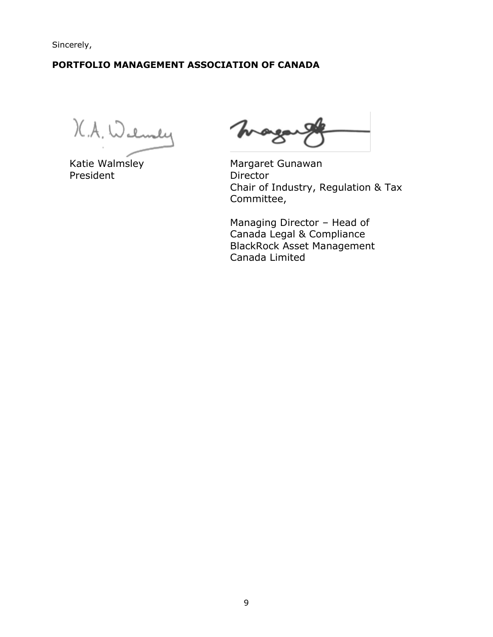Sincerely,

# **PORTFOLIO MANAGEMENT ASSOCIATION OF CANADA**

K.A. Walmaly Magnet Gunawan

President Director

mage

Chair of Industry, Regulation & Tax Committee,

Managing Director – Head of Canada Legal & Compliance BlackRock Asset Management Canada Limited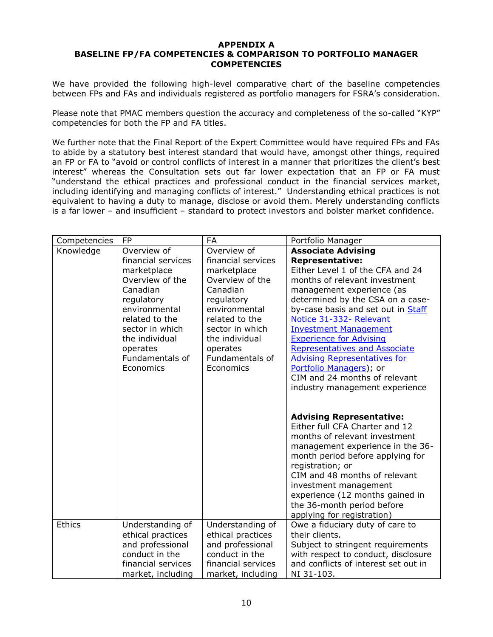#### **APPENDIX A BASELINE FP/FA COMPETENCIES & COMPARISON TO PORTFOLIO MANAGER COMPETENCIES**

We have provided the following high-level comparative chart of the baseline competencies between FPs and FAs and individuals registered as portfolio managers for FSRA's consideration.

Please note that PMAC members question the accuracy and completeness of the so-called "KYP" competencies for both the FP and FA titles.

We further note that the Final Report of the Expert Committee would have required FPs and FAs to abide by a statutory best interest standard that would have, amongst other things, required an FP or FA to "avoid or control conflicts of interest in a manner that prioritizes the client's best interest" whereas the Consultation sets out far lower expectation that an FP or FA must "understand the ethical practices and professional conduct in the financial services market, including identifying and managing conflicts of interest." Understanding ethical practices is not equivalent to having a duty to manage, disclose or avoid them. Merely understanding conflicts is a far lower – and insufficient – standard to protect investors and bolster market confidence.

| Competencies  | <b>FP</b>                          | FA                                 | Portfolio Manager                                                                                                                                                                                                                                                                                                                                       |
|---------------|------------------------------------|------------------------------------|---------------------------------------------------------------------------------------------------------------------------------------------------------------------------------------------------------------------------------------------------------------------------------------------------------------------------------------------------------|
| Knowledge     | Overview of                        | Overview of                        | <b>Associate Advising</b>                                                                                                                                                                                                                                                                                                                               |
|               | financial services                 | financial services                 | <b>Representative:</b>                                                                                                                                                                                                                                                                                                                                  |
|               | marketplace                        | marketplace                        | Either Level 1 of the CFA and 24                                                                                                                                                                                                                                                                                                                        |
|               | Overview of the                    | Overview of the                    | months of relevant investment                                                                                                                                                                                                                                                                                                                           |
|               | Canadian                           | Canadian                           | management experience (as                                                                                                                                                                                                                                                                                                                               |
|               | regulatory                         | regulatory                         | determined by the CSA on a case-                                                                                                                                                                                                                                                                                                                        |
|               | environmental                      | environmental                      | by-case basis and set out in Staff                                                                                                                                                                                                                                                                                                                      |
|               | related to the                     | related to the                     | Notice 31-332- Relevant                                                                                                                                                                                                                                                                                                                                 |
|               | sector in which                    | sector in which                    | <b>Investment Management</b>                                                                                                                                                                                                                                                                                                                            |
|               | the individual                     | the individual                     | <b>Experience for Advising</b>                                                                                                                                                                                                                                                                                                                          |
|               | operates                           | operates                           | <b>Representatives and Associate</b>                                                                                                                                                                                                                                                                                                                    |
|               | Fundamentals of                    | Fundamentals of                    | <b>Advising Representatives for</b>                                                                                                                                                                                                                                                                                                                     |
|               | Economics                          | Economics                          | Portfolio Managers); or                                                                                                                                                                                                                                                                                                                                 |
|               |                                    |                                    | CIM and 24 months of relevant                                                                                                                                                                                                                                                                                                                           |
|               |                                    |                                    | industry management experience                                                                                                                                                                                                                                                                                                                          |
|               |                                    |                                    |                                                                                                                                                                                                                                                                                                                                                         |
|               |                                    |                                    | <b>Advising Representative:</b><br>Either full CFA Charter and 12<br>months of relevant investment<br>management experience in the 36-<br>month period before applying for<br>registration; or<br>CIM and 48 months of relevant<br>investment management<br>experience (12 months gained in<br>the 36-month period before<br>applying for registration) |
| <b>Ethics</b> | Understanding of                   | Understanding of                   | Owe a fiduciary duty of care to                                                                                                                                                                                                                                                                                                                         |
|               | ethical practices                  | ethical practices                  | their clients.                                                                                                                                                                                                                                                                                                                                          |
|               | and professional<br>conduct in the | and professional<br>conduct in the | Subject to stringent requirements<br>with respect to conduct, disclosure                                                                                                                                                                                                                                                                                |
|               | financial services                 | financial services                 | and conflicts of interest set out in                                                                                                                                                                                                                                                                                                                    |
|               | market, including                  | market, including                  | NI 31-103.                                                                                                                                                                                                                                                                                                                                              |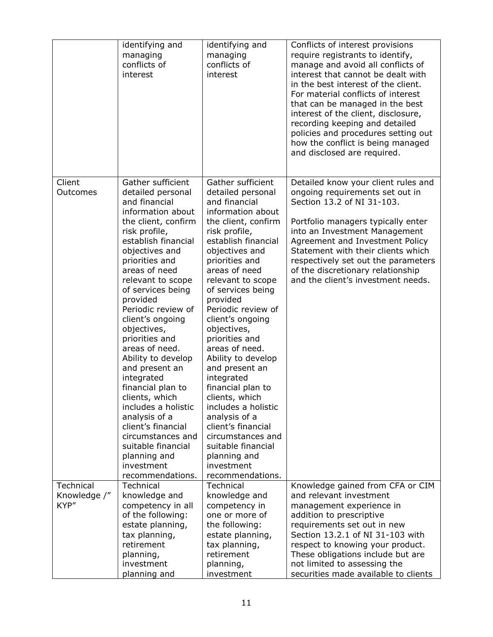|                      | identifying and<br>managing<br>conflicts of<br>interest                                                                                                                                                                                                                                                                                                                                                                                                                                                                                                                                                     | identifying and<br>managing<br>conflicts of<br>interest                                                                                                                                                                                                                                                                                                                                                                                                                                                                                                                                                     | Conflicts of interest provisions<br>require registrants to identify,<br>manage and avoid all conflicts of<br>interest that cannot be dealt with<br>in the best interest of the client.<br>For material conflicts of interest<br>that can be managed in the best<br>interest of the client, disclosure,<br>recording keeping and detailed<br>policies and procedures setting out<br>how the conflict is being managed<br>and disclosed are required. |
|----------------------|-------------------------------------------------------------------------------------------------------------------------------------------------------------------------------------------------------------------------------------------------------------------------------------------------------------------------------------------------------------------------------------------------------------------------------------------------------------------------------------------------------------------------------------------------------------------------------------------------------------|-------------------------------------------------------------------------------------------------------------------------------------------------------------------------------------------------------------------------------------------------------------------------------------------------------------------------------------------------------------------------------------------------------------------------------------------------------------------------------------------------------------------------------------------------------------------------------------------------------------|-----------------------------------------------------------------------------------------------------------------------------------------------------------------------------------------------------------------------------------------------------------------------------------------------------------------------------------------------------------------------------------------------------------------------------------------------------|
| Client<br>Outcomes   | Gather sufficient<br>detailed personal<br>and financial<br>information about<br>the client, confirm<br>risk profile,<br>establish financial<br>objectives and<br>priorities and<br>areas of need<br>relevant to scope<br>of services being<br>provided<br>Periodic review of<br>client's ongoing<br>objectives,<br>priorities and<br>areas of need.<br>Ability to develop<br>and present an<br>integrated<br>financial plan to<br>clients, which<br>includes a holistic<br>analysis of a<br>client's financial<br>circumstances and<br>suitable financial<br>planning and<br>investment<br>recommendations. | Gather sufficient<br>detailed personal<br>and financial<br>information about<br>the client, confirm<br>risk profile,<br>establish financial<br>objectives and<br>priorities and<br>areas of need<br>relevant to scope<br>of services being<br>provided<br>Periodic review of<br>client's ongoing<br>objectives,<br>priorities and<br>areas of need.<br>Ability to develop<br>and present an<br>integrated<br>financial plan to<br>clients, which<br>includes a holistic<br>analysis of a<br>client's financial<br>circumstances and<br>suitable financial<br>planning and<br>investment<br>recommendations. | Detailed know your client rules and<br>ongoing requirements set out in<br>Section 13.2 of NI 31-103.<br>Portfolio managers typically enter<br>into an Investment Management<br>Agreement and Investment Policy<br>Statement with their clients which<br>respectively set out the parameters<br>of the discretionary relationship<br>and the client's investment needs.                                                                              |
| Technical            | Technical                                                                                                                                                                                                                                                                                                                                                                                                                                                                                                                                                                                                   | Technical                                                                                                                                                                                                                                                                                                                                                                                                                                                                                                                                                                                                   | Knowledge gained from CFA or CIM                                                                                                                                                                                                                                                                                                                                                                                                                    |
| Knowledge /"<br>KYP" | knowledge and<br>competency in all<br>of the following:<br>estate planning,<br>tax planning,<br>retirement<br>planning,<br>investment<br>planning and                                                                                                                                                                                                                                                                                                                                                                                                                                                       | knowledge and<br>competency in<br>one or more of<br>the following:<br>estate planning,<br>tax planning,<br>retirement<br>planning,<br>investment                                                                                                                                                                                                                                                                                                                                                                                                                                                            | and relevant investment<br>management experience in<br>addition to prescriptive<br>requirements set out in new<br>Section 13.2.1 of NI 31-103 with<br>respect to knowing your product.<br>These obligations include but are<br>not limited to assessing the<br>securities made available to clients                                                                                                                                                 |